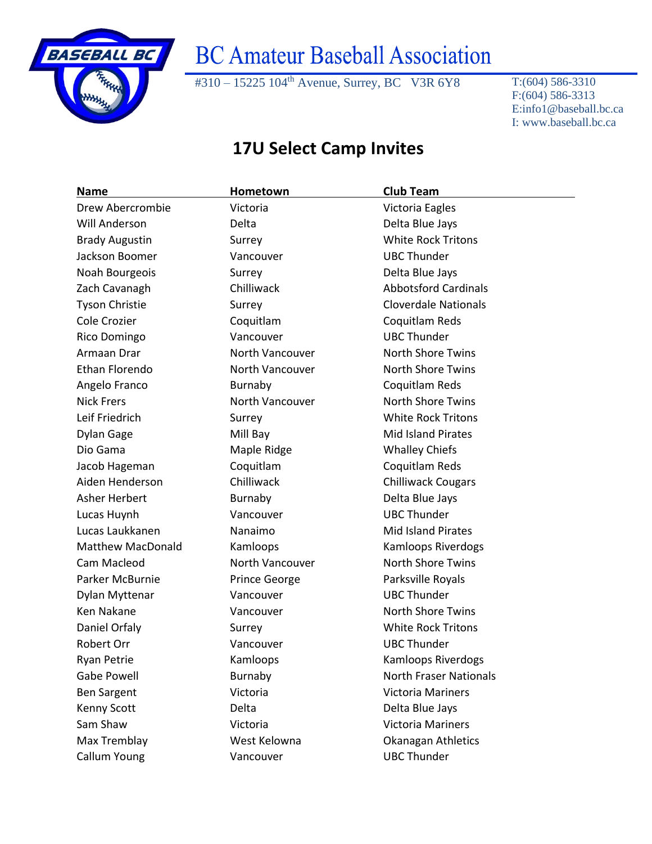

## **BC Amateur Baseball Association**

#310 – 15225 104<sup>th</sup> Avenue, Surrey, BC V3R 6Y8 T:(604) 586-3310

F:(604) 586-3313 E:info1@baseball.bc.ca I: www.baseball.bc.ca

## **17U Select Camp Invites**

| <b>Name</b>              | Hometown             | <b>Club Team</b>              |
|--------------------------|----------------------|-------------------------------|
| Drew Abercrombie         | Victoria             | Victoria Eagles               |
| Will Anderson            | Delta                | Delta Blue Jays               |
| <b>Brady Augustin</b>    | Surrey               | <b>White Rock Tritons</b>     |
| Jackson Boomer           | Vancouver            | <b>UBC Thunder</b>            |
| Noah Bourgeois           | Surrey               | Delta Blue Jays               |
| Zach Cavanagh            | Chilliwack           | <b>Abbotsford Cardinals</b>   |
| <b>Tyson Christie</b>    | Surrey               | <b>Cloverdale Nationals</b>   |
| Cole Crozier             | Coquitlam            | Coquitlam Reds                |
| Rico Domingo             | Vancouver            | <b>UBC Thunder</b>            |
| Armaan Drar              | North Vancouver      | <b>North Shore Twins</b>      |
| Ethan Florendo           | North Vancouver      | <b>North Shore Twins</b>      |
| Angelo Franco            | Burnaby              | Coquitlam Reds                |
| <b>Nick Frers</b>        | North Vancouver      | <b>North Shore Twins</b>      |
| Leif Friedrich           | Surrey               | <b>White Rock Tritons</b>     |
| <b>Dylan Gage</b>        | Mill Bay             | <b>Mid Island Pirates</b>     |
| Dio Gama                 | Maple Ridge          | <b>Whalley Chiefs</b>         |
| Jacob Hageman            | Coquitlam            | Coquitlam Reds                |
| Aiden Henderson          | Chilliwack           | <b>Chilliwack Cougars</b>     |
| Asher Herbert            | Burnaby              | Delta Blue Jays               |
| Lucas Huynh              | Vancouver            | <b>UBC Thunder</b>            |
| Lucas Laukkanen          | Nanaimo              | <b>Mid Island Pirates</b>     |
| <b>Matthew MacDonald</b> | Kamloops             | Kamloops Riverdogs            |
| Cam Macleod              | North Vancouver      | <b>North Shore Twins</b>      |
| Parker McBurnie          | <b>Prince George</b> | Parksville Royals             |
| Dylan Myttenar           | Vancouver            | <b>UBC Thunder</b>            |
| <b>Ken Nakane</b>        | Vancouver            | <b>North Shore Twins</b>      |
| Daniel Orfaly            | Surrey               | <b>White Rock Tritons</b>     |
| Robert Orr               | Vancouver            | <b>UBC Thunder</b>            |
| <b>Ryan Petrie</b>       | Kamloops             | Kamloops Riverdogs            |
| <b>Gabe Powell</b>       | Burnaby              | <b>North Fraser Nationals</b> |
| <b>Ben Sargent</b>       | Victoria             | <b>Victoria Mariners</b>      |
| Kenny Scott              | Delta                | Delta Blue Jays               |
| Sam Shaw                 | Victoria             | <b>Victoria Mariners</b>      |
| Max Tremblay             | West Kelowna         | Okanagan Athletics            |
| Callum Young             | Vancouver            | <b>UBC Thunder</b>            |